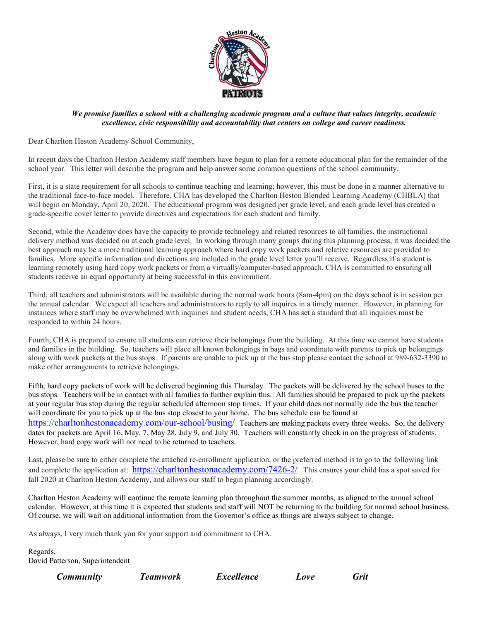

## *We promise families a school with a challenging academic program and a culture that values integrity, academic excellence, civic responsibility and accountability that centers on college and career readiness.*

Dear Charlton Heston Academy School Community,

In recent days the Charlton Heston Academy staff members have begun to plan for a remote educational plan for the remainder of the school year. This letter will describe the program and help answer some common questions of the school community.

First, it is a state requirement for all schools to continue teaching and learning; however, this must be done in a manner alternative to the traditional face-to-face model. Therefore, CHA has developed the Charlton Heston Blended Learning Academy (CHBLA) that will begin on Monday, April 20, 2020. The educational program was designed per grade level, and each grade level has created a grade-specific cover letter to provide directives and expectations for each student and family.

Second, while the Academy does have the capacity to provide technology and related resources to all families, the instructional delivery method was decided on at each grade level. In working through many groups during this planning process, it was decided the best approach may be a more traditional learning approach where hard copy work packets and relative resources are provided to families. More specific information and directions are included in the grade level letter you'll receive. Regardless if a student is learning remotely using hard copy work packets or from a virtually/computer-based approach, CHA is committed to ensuring all students receive an equal opportunity at being successful in this environment.

Third, all teachers and administrators will be available during the normal work hours (8am-4pm) on the days school is in session per the annual calendar. We expect all teachers and administrators to reply to all inquires in a timely manner. However, in planning for instances where staff may be overwhelmed with inquiries and student needs, CHA has set a standard that all inquiries must be responded to within 24 hours.

Fourth, CHA is prepared to ensure all students can retrieve their belongings from the building. At this time we cannot have students and families in the building. So, teachers will place all known belongings in bags and coordinate with parents to pick up belongings along with work packets at the bus stops. If parents are unable to pick up at the bus stop please contact the school at 989-632-3390 to make other arrangements to retrieve belongings.

Fifth, hard copy packets of work will be delivered beginning this Thursday. The packets will be delivered by the school buses to the bus stops. Teachers will be in contact with all families to further explain this. All families should be prepared to pick up the packets at your regular bus stop during the regular scheduled afternoon stop times. If your child does not normally ride the bus the teacher will coordinate for you to pick up at the bus stop closest to your home. The bus schedule can be found at <https://charltonhestonacademy.com/our-school/busing/>Teachers are making packets every three weeks. So, the delivery dates for packets are April 16, May, 7, May 28, July 9, and July 30. Teachers will constantly check in on the progress of students. However, hard copy work will not need to be returned to teachers.

Last, please be sure to either complete the attached re-enrollment application, or the preferred method is to go to the following link and complete the application at:<https://charltonhestonacademy.com/7426-2/>This ensures your child has a spot saved for fall 2020 at Charlton Heston Academy, and allows our staff to begin planning accordingly.

Charlton Heston Academy will continue the remote learning plan throughout the summer months, as aligned to the annual school calendar. However, at this time it is expected that students and staff will NOT be returning to the building for normal school business. Of course, we will wait on additional information from the Governor's office as things are always subject to change.

As always, I very much thank you for your support and commitment to CHA.

Regards, David Patterson, Superintendent

 *Community Teamwork Excellence Love Grit*